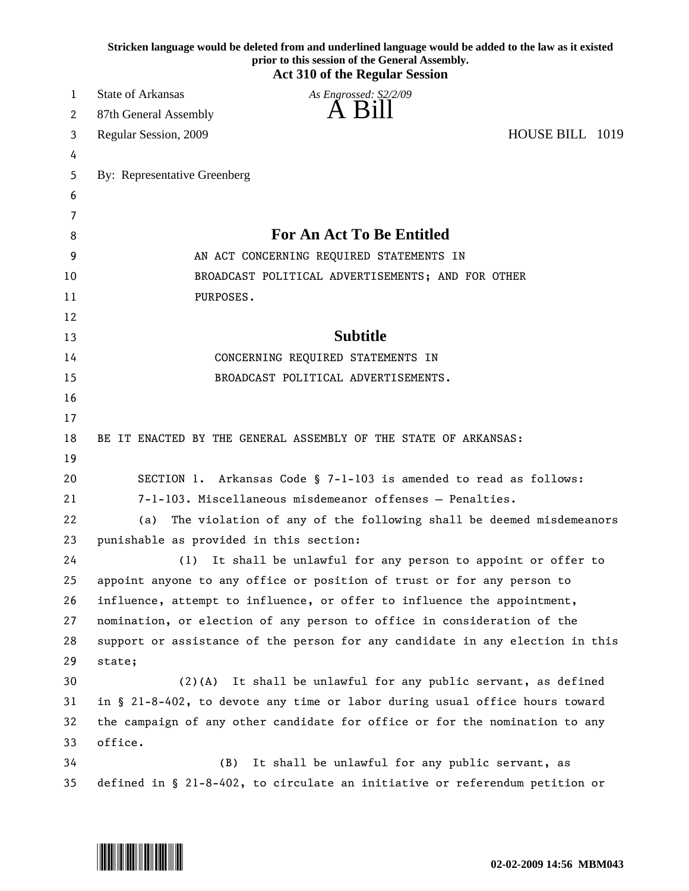| Stricken language would be deleted from and underlined language would be added to the law as it existed<br>prior to this session of the General Assembly.<br><b>Act 310 of the Regular Session</b> |                                                                                |
|----------------------------------------------------------------------------------------------------------------------------------------------------------------------------------------------------|--------------------------------------------------------------------------------|
| 1                                                                                                                                                                                                  | <b>State of Arkansas</b><br>As Engrossed: S2/2/09                              |
| 2                                                                                                                                                                                                  | A Bill<br>87th General Assembly                                                |
| 3                                                                                                                                                                                                  | HOUSE BILL 1019<br>Regular Session, 2009                                       |
| 4                                                                                                                                                                                                  |                                                                                |
| 5                                                                                                                                                                                                  | By: Representative Greenberg                                                   |
| 6                                                                                                                                                                                                  |                                                                                |
| 7                                                                                                                                                                                                  |                                                                                |
| 8                                                                                                                                                                                                  | <b>For An Act To Be Entitled</b>                                               |
| 9                                                                                                                                                                                                  | AN ACT CONCERNING REQUIRED STATEMENTS IN                                       |
| 10                                                                                                                                                                                                 | BROADCAST POLITICAL ADVERTISEMENTS; AND FOR OTHER                              |
| 11                                                                                                                                                                                                 | PURPOSES.                                                                      |
| 12                                                                                                                                                                                                 |                                                                                |
| 13                                                                                                                                                                                                 | <b>Subtitle</b>                                                                |
| 14                                                                                                                                                                                                 | CONCERNING REQUIRED STATEMENTS IN                                              |
| 15                                                                                                                                                                                                 | BROADCAST POLITICAL ADVERTISEMENTS.                                            |
| 16                                                                                                                                                                                                 |                                                                                |
| 17                                                                                                                                                                                                 |                                                                                |
| 18                                                                                                                                                                                                 | BE IT ENACTED BY THE GENERAL ASSEMBLY OF THE STATE OF ARKANSAS:                |
| 19                                                                                                                                                                                                 |                                                                                |
| 20                                                                                                                                                                                                 | SECTION 1. Arkansas Code § 7-1-103 is amended to read as follows:              |
| 21                                                                                                                                                                                                 | 7-1-103. Miscellaneous misdemeanor offenses - Penalties.                       |
| 22                                                                                                                                                                                                 | The violation of any of the following shall be deemed misdemeanors<br>(a)      |
| 23                                                                                                                                                                                                 | punishable as provided in this section:                                        |
| 24                                                                                                                                                                                                 | (1) It shall be unlawful for any person to appoint or offer to                 |
| 25                                                                                                                                                                                                 | appoint anyone to any office or position of trust or for any person to         |
| 26                                                                                                                                                                                                 | influence, attempt to influence, or offer to influence the appointment,        |
| 27                                                                                                                                                                                                 | nomination, or election of any person to office in consideration of the        |
| 28                                                                                                                                                                                                 | support or assistance of the person for any candidate in any election in this  |
| 29                                                                                                                                                                                                 | state;                                                                         |
| 30                                                                                                                                                                                                 | $(2)(A)$ It shall be unlawful for any public servant, as defined               |
| 31                                                                                                                                                                                                 | in § 21-8-402, to devote any time or labor during usual office hours toward    |
| 32                                                                                                                                                                                                 | the campaign of any other candidate for office or for the nomination to any    |
| 33                                                                                                                                                                                                 | office.                                                                        |
| 34                                                                                                                                                                                                 | It shall be unlawful for any public servant, as<br>(B)                         |
| 35                                                                                                                                                                                                 | defined in $\S$ 21-8-402, to circulate an initiative or referendum petition or |

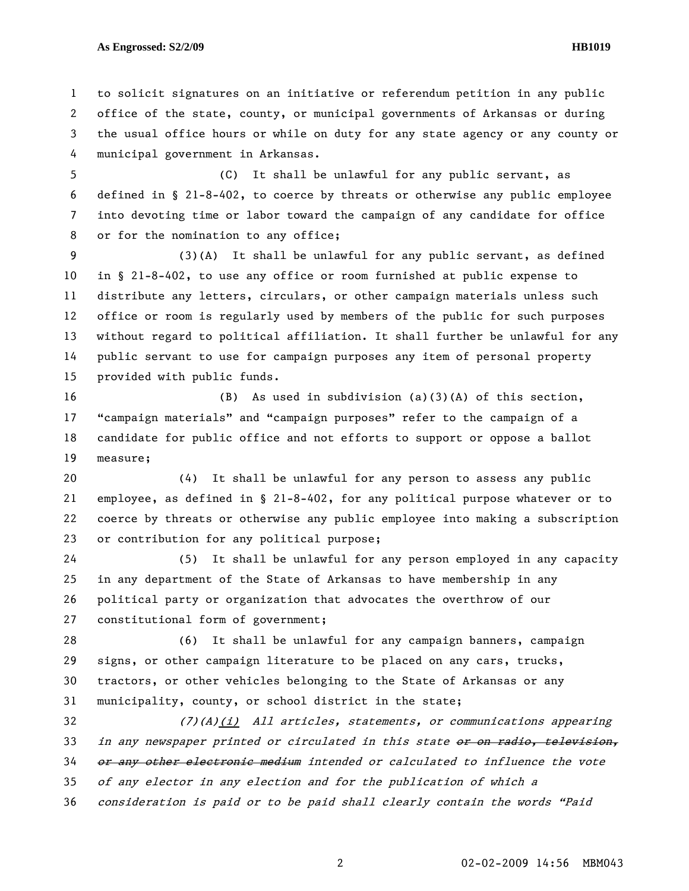**As Engrossed: S2/2/09 HB1019** 

1 to solicit signatures on an initiative or referendum petition in any public 2 office of the state, county, or municipal governments of Arkansas or during 3 the usual office hours or while on duty for any state agency or any county or 4 municipal government in Arkansas.

5 (C) It shall be unlawful for any public servant, as 6 defined in § 21-8-402, to coerce by threats or otherwise any public employee 7 into devoting time or labor toward the campaign of any candidate for office 8 or for the nomination to any office;

9 (3)(A) It shall be unlawful for any public servant, as defined 10 in § 21-8-402, to use any office or room furnished at public expense to 11 distribute any letters, circulars, or other campaign materials unless such 12 office or room is regularly used by members of the public for such purposes 13 without regard to political affiliation. It shall further be unlawful for any 14 public servant to use for campaign purposes any item of personal property 15 provided with public funds.

16 (B) As used in subdivision (a)(3)(A) of this section, 17 "campaign materials" and "campaign purposes" refer to the campaign of a 18 candidate for public office and not efforts to support or oppose a ballot 19 measure;

20 (4) It shall be unlawful for any person to assess any public 21 employee, as defined in § 21-8-402, for any political purpose whatever or to 22 coerce by threats or otherwise any public employee into making a subscription 23 or contribution for any political purpose;

24 (5) It shall be unlawful for any person employed in any capacity 25 in any department of the State of Arkansas to have membership in any 26 political party or organization that advocates the overthrow of our 27 constitutional form of government;

28 (6) It shall be unlawful for any campaign banners, campaign 29 signs, or other campaign literature to be placed on any cars, trucks, 30 tractors, or other vehicles belonging to the State of Arkansas or any 31 municipality, county, or school district in the state;

32 (7)(A)(i) All articles, statements, or communications appearing 33 in any newspaper printed or circulated in this state or on radio, television, 34 or any other electronic medium intended or calculated to influence the vote 35 of any elector in any election and for the publication of which a 36 consideration is paid or to be paid shall clearly contain the words "Paid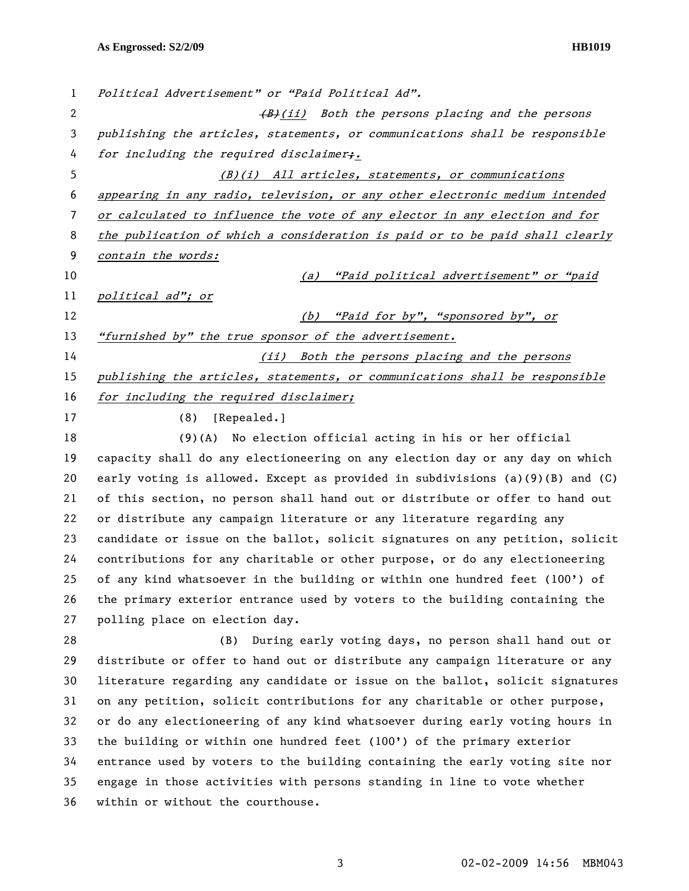| $\mathbf{1}$   | Political Advertisement" or "Paid Political Ad".                                  |
|----------------|-----------------------------------------------------------------------------------|
| $\overline{c}$ | (B)(ii) Both the persons placing and the persons                                  |
| 3              | publishing the articles, statements, or communications shall be responsible       |
| 4              | for including the required disclaimer;.                                           |
| 5              | (B)(i) All articles, statements, or communications                                |
| 6              | appearing in any radio, television, or any other electronic medium intended       |
| 7              | or calculated to influence the vote of any elector in any election and for        |
| 8              | the publication of which a consideration is paid or to be paid shall clearly      |
| 9              | contain the words:                                                                |
| 10             | "Paid political advertisement" or "paid<br>(a)                                    |
| 11             | political ad"; or                                                                 |
| 12             | (b) "Paid for by", "sponsored by", or                                             |
| 13             | "furnished by" the true sponsor of the advertisement.                             |
| 14             | (ii) Both the persons placing and the persons                                     |
| 15             | publishing the articles, statements, or communications shall be responsible       |
| 16             | for including the required disclaimer;                                            |
| 17             | (8)<br>[Repealed.]                                                                |
| 18             | No election official acting in his or her official<br>(9)(A)                      |
| 19             | capacity shall do any electioneering on any election day or any day on which      |
| 20             | early voting is allowed. Except as provided in subdivisions $(a)(9)(B)$ and $(C)$ |
| 21             | of this section, no person shall hand out or distribute or offer to hand out      |
| 22             | or distribute any campaign literature or any literature regarding any             |
| 23             | candidate or issue on the ballot, solicit signatures on any petition, solicit     |
| 24             | contributions for any charitable or other purpose, or do any electioneering       |
| 25             | of any kind whatsoever in the building or within one hundred feet (100') of       |
| 26             | the primary exterior entrance used by voters to the building containing the       |
| 27             | polling place on election day.                                                    |
| 28             | During early voting days, no person shall hand out or<br>(B)                      |
| 29             | distribute or offer to hand out or distribute any campaign literature or any      |
| 30             | literature regarding any candidate or issue on the ballot, solicit signatures     |
| 31             | on any petition, solicit contributions for any charitable or other purpose,       |
| 32             | or do any electioneering of any kind whatsoever during early voting hours in      |
| 33             | the building or within one hundred feet $(100')$ of the primary exterior          |
| 34             | entrance used by voters to the building containing the early voting site nor      |
| 35             | engage in those activities with persons standing in line to vote whether          |
| 36             | within or without the courthouse.                                                 |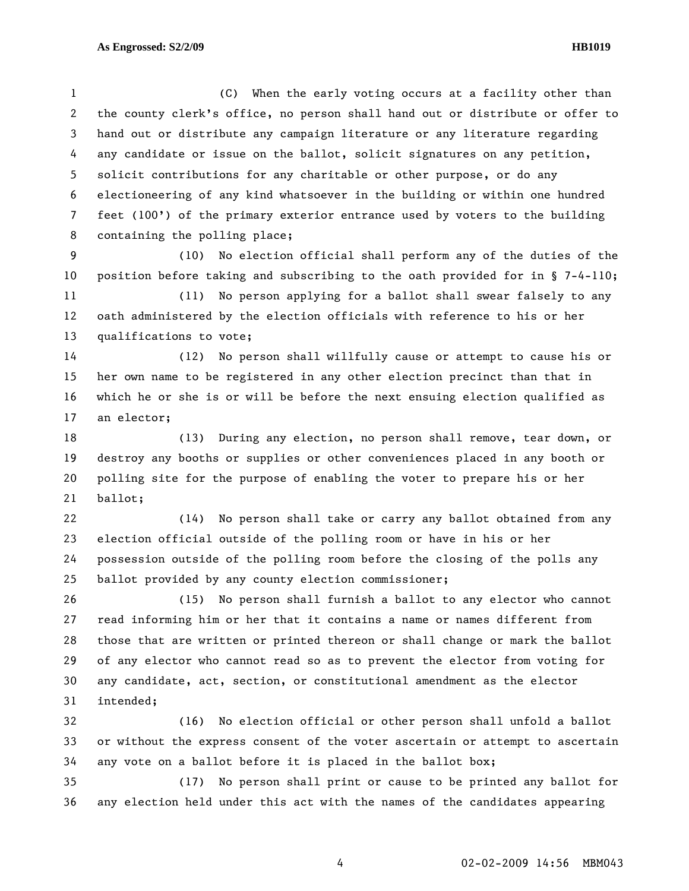1 (C) When the early voting occurs at a facility other than 2 the county clerk's office, no person shall hand out or distribute or offer to 3 hand out or distribute any campaign literature or any literature regarding 4 any candidate or issue on the ballot, solicit signatures on any petition, 5 solicit contributions for any charitable or other purpose, or do any 6 electioneering of any kind whatsoever in the building or within one hundred 7 feet (100') of the primary exterior entrance used by voters to the building 8 containing the polling place;

9 (10) No election official shall perform any of the duties of the 10 position before taking and subscribing to the oath provided for in § 7-4-110;

11 (11) No person applying for a ballot shall swear falsely to any 12 oath administered by the election officials with reference to his or her 13 qualifications to vote;

14 (12) No person shall willfully cause or attempt to cause his or 15 her own name to be registered in any other election precinct than that in 16 which he or she is or will be before the next ensuing election qualified as 17 an elector;

18 (13) During any election, no person shall remove, tear down, or 19 destroy any booths or supplies or other conveniences placed in any booth or 20 polling site for the purpose of enabling the voter to prepare his or her 21 ballot;

22 (14) No person shall take or carry any ballot obtained from any 23 election official outside of the polling room or have in his or her 24 possession outside of the polling room before the closing of the polls any 25 ballot provided by any county election commissioner;

26 (15) No person shall furnish a ballot to any elector who cannot 27 read informing him or her that it contains a name or names different from 28 those that are written or printed thereon or shall change or mark the ballot 29 of any elector who cannot read so as to prevent the elector from voting for 30 any candidate, act, section, or constitutional amendment as the elector 31 intended;

32 (16) No election official or other person shall unfold a ballot 33 or without the express consent of the voter ascertain or attempt to ascertain 34 any vote on a ballot before it is placed in the ballot box;

35 (17) No person shall print or cause to be printed any ballot for 36 any election held under this act with the names of the candidates appearing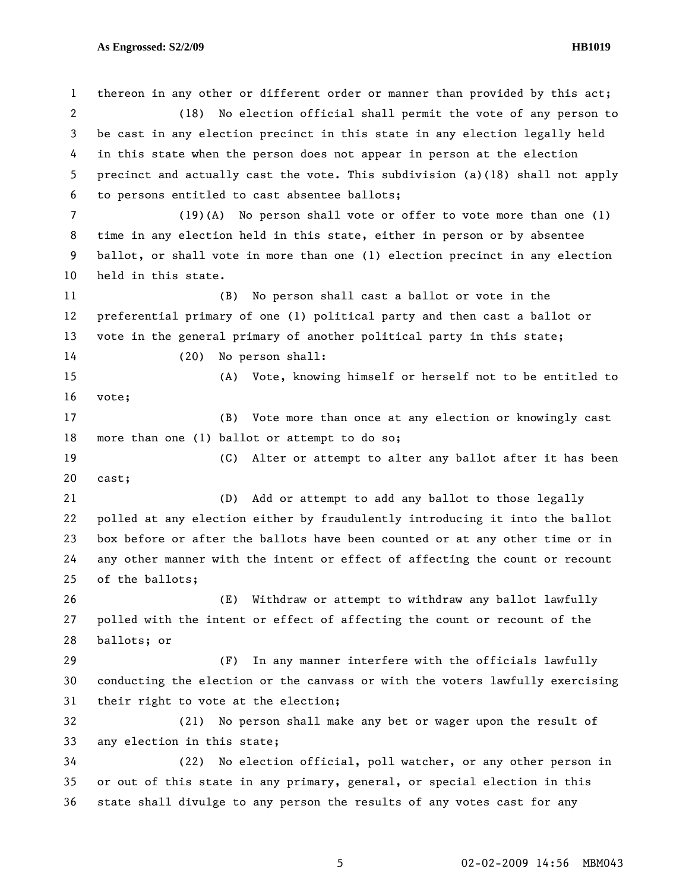1 thereon in any other or different order or manner than provided by this act; 2 (18) No election official shall permit the vote of any person to 3 be cast in any election precinct in this state in any election legally held 4 in this state when the person does not appear in person at the election 5 precinct and actually cast the vote. This subdivision (a)(18) shall not apply 6 to persons entitled to cast absentee ballots; 7 (19)(A) No person shall vote or offer to vote more than one (1) 8 time in any election held in this state, either in person or by absentee 9 ballot, or shall vote in more than one (1) election precinct in any election 10 held in this state. 11 (B) No person shall cast a ballot or vote in the 12 preferential primary of one (1) political party and then cast a ballot or 13 vote in the general primary of another political party in this state; 14 (20) No person shall: 15 (A) Vote, knowing himself or herself not to be entitled to 16 vote; 17 (B) Vote more than once at any election or knowingly cast 18 more than one (1) ballot or attempt to do so; 19 (C) Alter or attempt to alter any ballot after it has been 20 cast; 21 (D) Add or attempt to add any ballot to those legally 22 polled at any election either by fraudulently introducing it into the ballot 23 box before or after the ballots have been counted or at any other time or in 24 any other manner with the intent or effect of affecting the count or recount 25 of the ballots; 26 (E) Withdraw or attempt to withdraw any ballot lawfully 27 polled with the intent or effect of affecting the count or recount of the 28 ballots; or 29 (F) In any manner interfere with the officials lawfully 30 conducting the election or the canvass or with the voters lawfully exercising 31 their right to vote at the election; 32 (21) No person shall make any bet or wager upon the result of 33 any election in this state; 34 (22) No election official, poll watcher, or any other person in 35 or out of this state in any primary, general, or special election in this 36 state shall divulge to any person the results of any votes cast for any

5 02-02-2009 14:56 MBM043